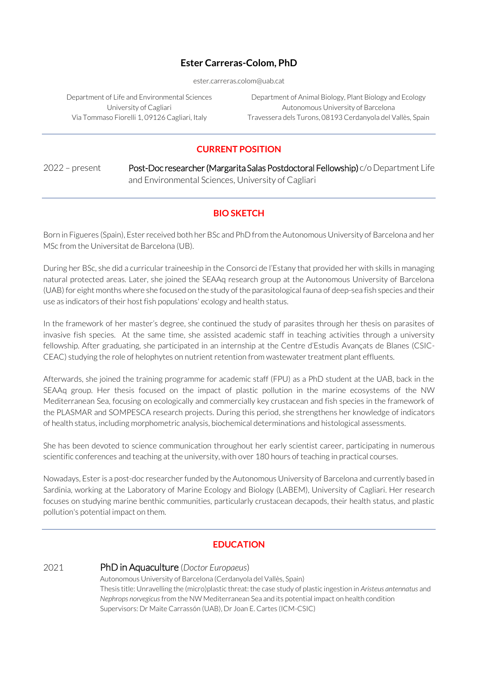### **Ester Carreras-Colom, PhD**

ester.carreras.colom@uab.cat

Department of Life and Environmental Sciences University of Cagliari Via Tommaso Fiorelli 1, 09126 Cagliari, Italy

Department of Animal Biology, Plant Biology and Ecology Autonomous University of Barcelona Travessera dels Turons, 08193 Cerdanyola del Vallès, Spain

# **CURRENT POSITION**

2022 - present Post-Doc researcher (Margarita Salas Postdoctoral Fellowship) c/o Department Life and Environmental Sciences, University of Cagliari

### **BIO SKETCH**

Born in Figueres (Spain), Ester received both her BSc and PhD from the Autonomous University of Barcelona and her MSc from the Universitat de Barcelona (UB).

During her BSc, she did a curricular traineeship in the Consorci de l'Estany that provided her with skills in managing natural protected areas. Later, she joined the SEAAq research group at the Autonomous University of Barcelona (UAB) for eight months where she focused on the study of the parasitological fauna of deep-sea fish species and their use as indicators of their host fish populations' ecology and health status.

In the framework of her master's degree, she continued the study of parasites through her thesis on parasites of invasive fish species. At the same time, she assisted academic staff in teaching activities through a university fellowship. After graduating, she participated in an internship at the Centre d'Estudis Avançats de Blanes (CSIC-CEAC) studying the role of helophytes on nutrient retention from wastewater treatment plant effluents.

Afterwards, she joined the training programme for academic staff (FPU) as a PhD student at the UAB, back in the SEAAq group. Her thesis focused on the impact of plastic pollution in the marine ecosystems of the NW Mediterranean Sea, focusing on ecologically and commercially key crustacean and fish species in the framework of the PLASMAR and SOMPESCA research projects. During this period, she strengthens her knowledge of indicators of health status, including morphometric analysis, biochemical determinations and histological assessments.

She has been devoted to science communication throughout her early scientist career, participating in numerous scientific conferences and teaching at the university, with over 180 hours of teaching in practical courses.

Nowadays, Ester is a post-doc researcher funded by the Autonomous University of Barcelona and currently based in Sardinia, working at the Laboratory of Marine Ecology and Biology (LABEM), University of Cagliari. Her research focuses on studying marine benthic communities, particularly crustacean decapods, their health status, and plastic pollution's potential impact on them.

# **EDUCATION**

#### 2021 PhD in Aquaculture (*Doctor Europaeus*)

Autonomous University of Barcelona (Cerdanyola del Vallès, Spain) Thesis title: Unravelling the (micro)plastic threat: the case study of plastic ingestion in *Aristeus antennatus* and *Nephrops norvegicus*from the NW Mediterranean Sea and its potential impact on health condition Supervisors: Dr Maite Carrassón (UAB), Dr Joan E. Cartes (ICM-CSIC)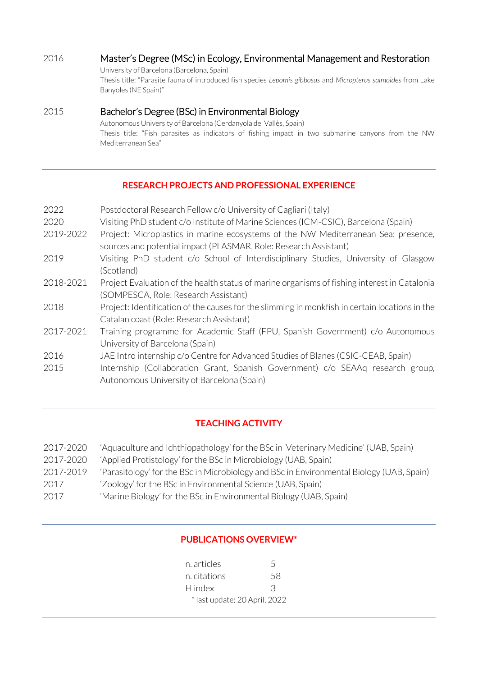# 2016 Master's Degree (MSc) in Ecology, Environmental Management and Restoration

University of Barcelona (Barcelona, Spain) Thesis title: "Parasite fauna of introduced fish species *Lepomis gibbosus* and *Micropterus salmoides* from Lake Banyoles (NE Spain)"

### 2015 Bachelor's Degree (BSc) in Environmental Biology

Autonomous University of Barcelona (Cerdanyola del Vallès, Spain) Thesis title: "Fish parasites as indicators of fishing impact in two submarine canyons from the NW Mediterranean Sea"

# **RESEARCH PROJECTS AND PROFESSIONAL EXPERIENCE**

| 2022      | Postdoctoral Research Fellow c/o University of Cagliari (Italy)                                |
|-----------|------------------------------------------------------------------------------------------------|
| 2020      | Visiting PhD student c/o Institute of Marine Sciences (ICM-CSIC), Barcelona (Spain)            |
| 2019-2022 | Project: Microplastics in marine ecosystems of the NW Mediterranean Sea: presence,             |
|           | sources and potential impact (PLASMAR, Role: Research Assistant)                               |
| 2019      | Visiting PhD student c/o School of Interdisciplinary Studies, University of Glasgow            |
|           | (Scotland)                                                                                     |
| 2018-2021 | Project Evaluation of the health status of marine organisms of fishing interest in Catalonia   |
|           | (SOMPESCA, Role: Research Assistant)                                                           |
| 2018      | Project: Identification of the causes for the slimming in monkfish in certain locations in the |
|           | Catalan coast (Role: Research Assistant)                                                       |
| 2017-2021 | Training programme for Academic Staff (FPU, Spanish Government) c/o Autonomous                 |
|           | University of Barcelona (Spain)                                                                |
| 2016      | JAE Intro internship c/o Centre for Advanced Studies of Blanes (CSIC-CEAB, Spain)              |
| 2015      | Internship (Collaboration Grant, Spanish Government) c/o SEAAq research group,                 |
|           | Autonomous University of Barcelona (Spain)                                                     |

# **TEACHING ACTIVITY**

| 2017-2020 | 'Aquaculture and Ichthiopathology' for the BSc in 'Veterinary Medicine' (UAB, Spain)     |
|-----------|------------------------------------------------------------------------------------------|
| 2017-2020 | 'Applied Protistology' for the BSc in Microbiology (UAB, Spain)                          |
| 2017-2019 | 'Parasitology' for the BSc in Microbiology and BSc in Environmental Biology (UAB, Spain) |
| 2017      | 'Zoology' for the BSc in Environmental Science (UAB, Spain)                              |
| 2017      | 'Marine Biology' for the BSc in Environmental Biology (UAB, Spain)                       |

# **PUBLICATIONS OVERVIEW\***

| n. articles                   | $\overline{a}$ |
|-------------------------------|----------------|
| n. citations                  | 58             |
| H index                       | К              |
| * last update: 20 April, 2022 |                |